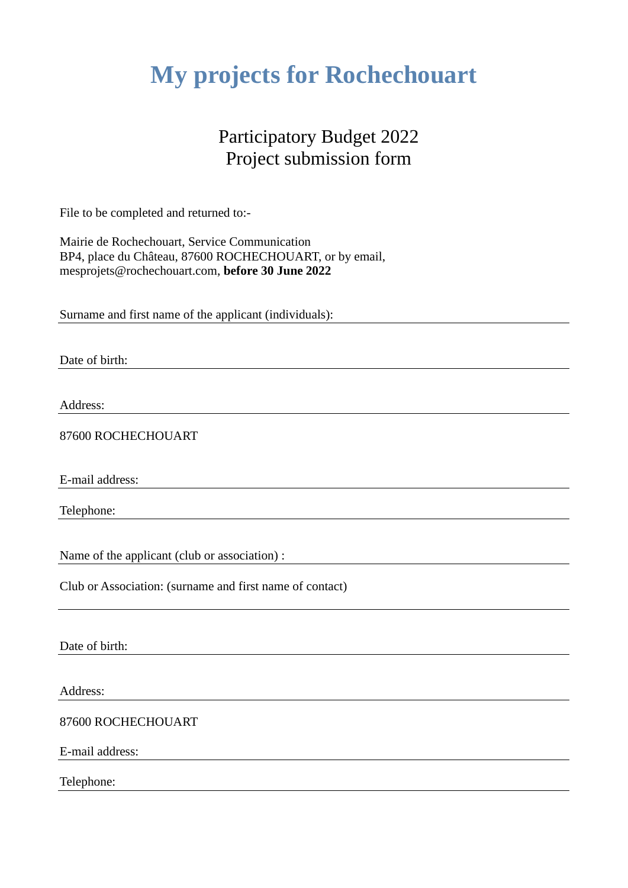# **My projects for Rochechouart**

#### Participatory Budget 2022 Project submission form

File to be completed and returned to:-

Mairie de Rochechouart, Service Communication BP4, place du Château, 87600 ROCHECHOUART, or by email, mesprojets@rochechouart.com, **before 30 June 2022**

Surname and first name of the applicant (individuals):

Date of birth:

Address:

87600 ROCHECHOUART

E-mail address:

Telephone:

Name of the applicant (club or association) :

Club or Association: (surname and first name of contact)

Date of birth:

Address:

87600 ROCHECHOUART

E-mail address:

Telephone: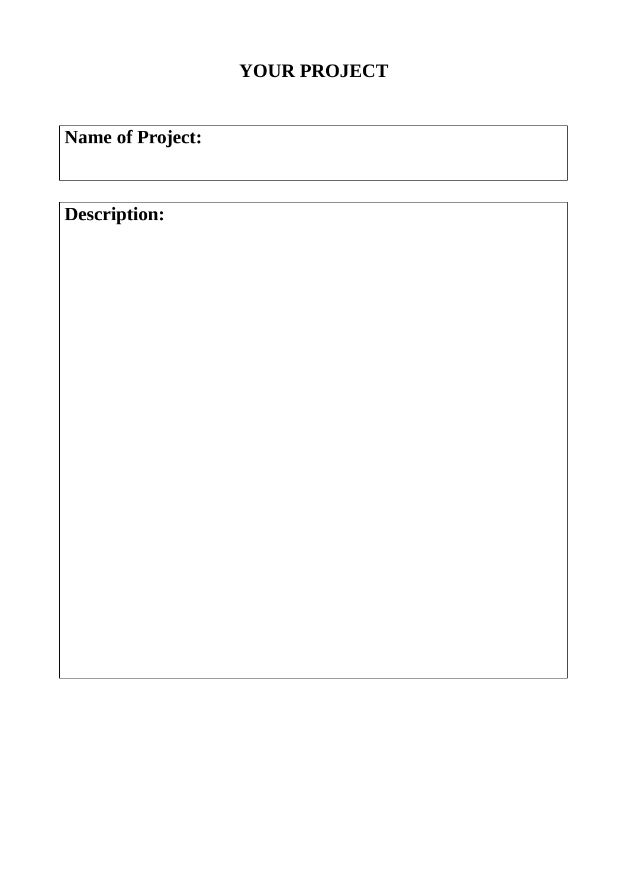### **YOUR PROJECT**

# **Name of Project:**

## **Description:**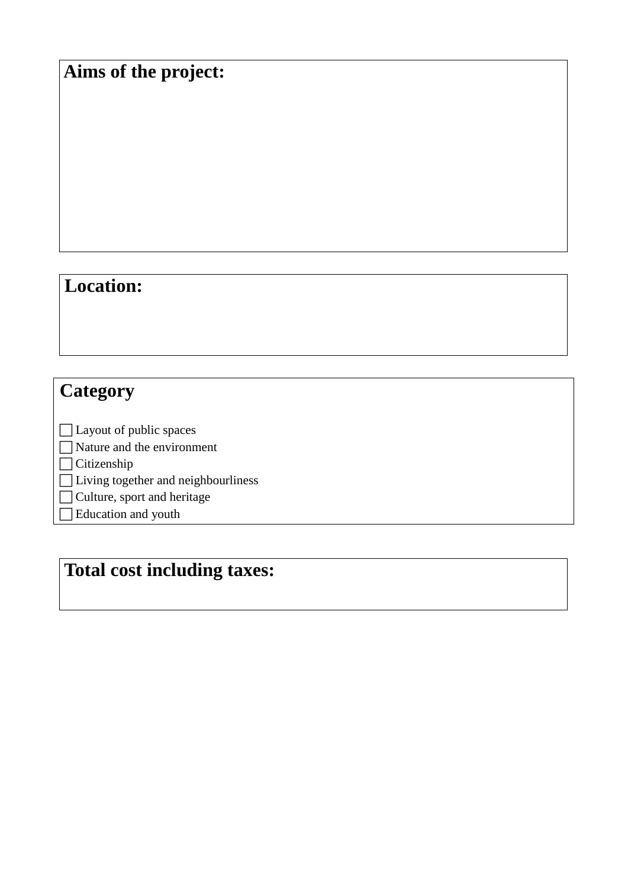### **Aims of the project:**

#### **Location:**

### **Category**

 Layout of public spaces Nature and the environment □ Citizenship □Living together and neighbourliness □ Culture, sport and heritage Education and youth

## **Total cost including taxes:**